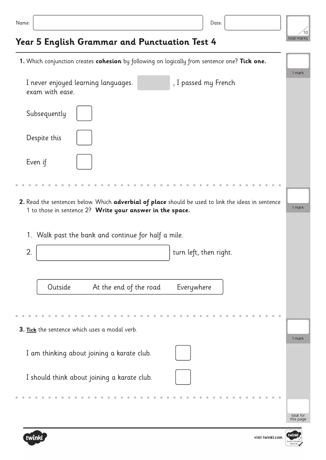|  | .<br>× | ×<br>۰.<br>٠<br>× |
|--|--------|-------------------|
|--|--------|-------------------|

total marks  $1<sup>1</sup>$ 

## **Year 5 English Grammar and Punctuation Test 4**

total for this page 1 mark **1.** Which conjunction creates **cohesion** by following on logically from sentence one? **Tick one.** I never enjoyed learning languages. The substitution of the passed my French exam with ease. 1. Walk past the bank and continue for half a mile. 1 mark 1 mark Subsequently I am thinking about joining a karate club. Despite this I should think about joining a karate club. Even if Outside At the end of the road Everywhere **2.** Read the sentences below. Which **adverbial of place** should be used to link the ideas in sentence 1 to those in sentence 2? **Write your answer in the space.** 2.  $\vert$  turn left, then right. **3. Tick** the sentence which uses a modal verb.



visit twinkl.com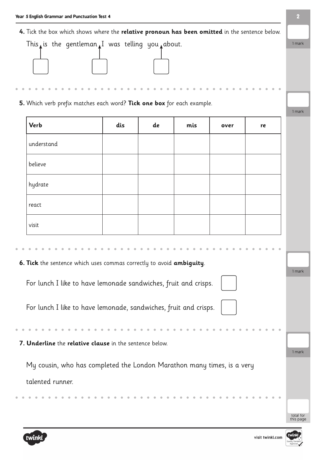

**5.** Which verb prefix matches each word? **Tick one box** for each example.

| <b>Verb</b>                                                            | dis | de | mis | over | re |
|------------------------------------------------------------------------|-----|----|-----|------|----|
| understand                                                             |     |    |     |      |    |
| believe                                                                |     |    |     |      |    |
| hydrate                                                                |     |    |     |      |    |
| react                                                                  |     |    |     |      |    |
| visit                                                                  |     |    |     |      |    |
|                                                                        |     |    |     |      |    |
| 6. Tick the sentence which uses commas correctly to avoid ambiguity.   |     |    |     |      |    |
|                                                                        |     |    |     |      |    |
| For lunch I like to have lemonade sandwiches, fruit and crisps.        |     |    |     |      |    |
| For lunch I like to have lemonade, sandwiches, fruit and crisps.       |     |    |     |      |    |
|                                                                        |     |    |     |      |    |
| 7. Underline the relative clause in the sentence below.                |     |    |     |      |    |
|                                                                        |     |    |     |      |    |
| My cousin, who has completed the London Marathon many times, is a very |     |    |     |      |    |
| talented runner.                                                       |     |    |     |      |    |
|                                                                        |     |    |     |      |    |
|                                                                        |     |    |     |      |    |
|                                                                        |     |    |     |      |    |



 $\bullet$ 

visit twinkl.com

1 mark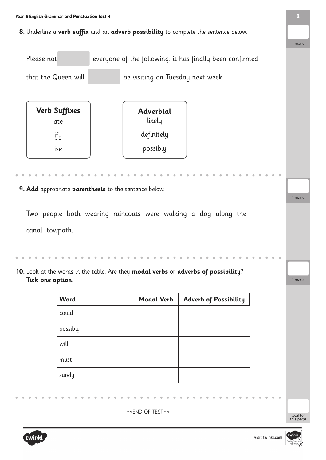**8.** Underline a **verb suffix** and an **adverb possibility** to complete the sentence below.

Please not everyone of the following: it has finally been confirmed

that the Queen will be visiting on Tuesday next week.

Two people both wearing raincoats were walking a dog along the canal towpath. **9. Add** appropriate **parenthesis** to the sentence below. **Verb Suffixes** ate ify ise **Adverbial** likely definitely possibly 1 mark

**10.** Look at the words in the table. Are they **modal verbs** or **adverbs of possibility**? **Tick one option.**

| <b>Word</b> | <b>Modal Verb</b> | <b>Adverb of Possibility</b> |
|-------------|-------------------|------------------------------|
| could       |                   |                              |
| possibly    |                   |                              |
| will        |                   |                              |
| must        |                   |                              |
| surely      |                   |                              |
|             |                   |                              |

 $**FND OF TEST**$ 



total for<br>this page

1 mark



1 mark